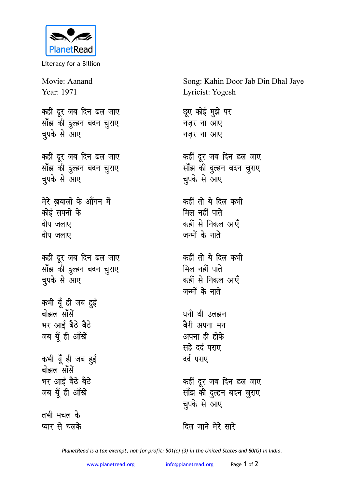

Literacy for a Billion

Movie: Aanand Year: 1971 कहीं दुर जब दिन ढल जाए <u>साँझ की दुल्हन बदन चुराए</u> चुपके से आए कहीं दूर जब दिन ढल जाए <u>साँझ की दुल्हन बदन चुराए</u> **चुपके से आए** मेरे खयालों के ऑगन में <u>कोई सपनों के</u> दीप जलाए <u>दीप जलाए</u> कहीं दूर जब दिन ढल जाए <u>साँझ की दुल्हन बदन चुराए</u> **चुपके से आए** कभी यूँ ही जब हुईं बोझल सॉॅंसें भर आईं बैठे बैठे जब यूँ ही आँखें कभी यूँ ही जब <u>ह</u>ुई बोझल सॉॅंसें भर आईं बैठे बैठे जब यूँ ही आँखें तभी मचल क<mark>े</mark> **प्यार से चलके** 

Song: Kahin Door Jab Din Dhal Jaye Lyricist: Yogesh

*छू*ए कोई मुझे पर <u>नज़र ना आए</u> <u>नजर ना आए</u> कहीं दूर जब दिन ढल जाए साँझ की दुल्हन बदन चुराए चुपके से आए कहीं तो ये दिल कभी **मिल नहीं पाते** कहीं से निकल आएँ जन्मों के नाते कहीं तो ये दिल कभी

**मिल नहीं पाते** कहीं से निकल आएँ जन्मों के नाते

घनी थी उलझन बैरी अपना मन अपना ही होक<mark>े</mark> **सहे** दर्द पराए दर्द पराए

कहीं दूर जब दिन ढल जाए साँझ की दुल्हन बदन चुराए चपके से आए

<u>दिल जाने मेरे सारे</u>

*PlanetRead is a tax-exempt, not-for-profit: 501(c) (3) in the United States and 80(G) in India.*